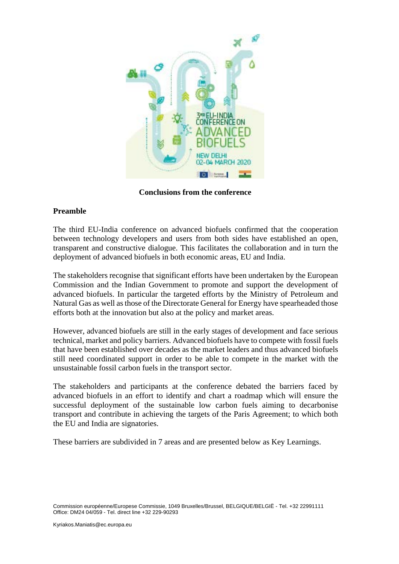

**Conclusions from the conference**

# **Preamble**

The third EU-India conference on advanced biofuels confirmed that the cooperation between technology developers and users from both sides have established an open, transparent and constructive dialogue. This facilitates the collaboration and in turn the deployment of advanced biofuels in both economic areas, EU and India.

The stakeholders recognise that significant efforts have been undertaken by the European Commission and the Indian Government to promote and support the development of advanced biofuels. In particular the targeted efforts by the Ministry of Petroleum and Natural Gas as well as those of the Directorate General for Energy have spearheaded those efforts both at the innovation but also at the policy and market areas.

However, advanced biofuels are still in the early stages of development and face serious technical, market and policy barriers. Advanced biofuels have to compete with fossil fuels that have been established over decades as the market leaders and thus advanced biofuels still need coordinated support in order to be able to compete in the market with the unsustainable fossil carbon fuels in the transport sector.

The stakeholders and participants at the conference debated the barriers faced by advanced biofuels in an effort to identify and chart a roadmap which will ensure the successful deployment of the sustainable low carbon fuels aiming to decarbonise transport and contribute in achieving the targets of the Paris Agreement; to which both the EU and India are signatories.

These barriers are subdivided in 7 areas and are presented below as Key Learnings.

Commission européenne/Europese Commissie, 1049 Bruxelles/Brussel, BELGIQUE/BELGIË - Tel. +32 22991111 Office: DM24 04/059 - Tel. direct line +32 229-90293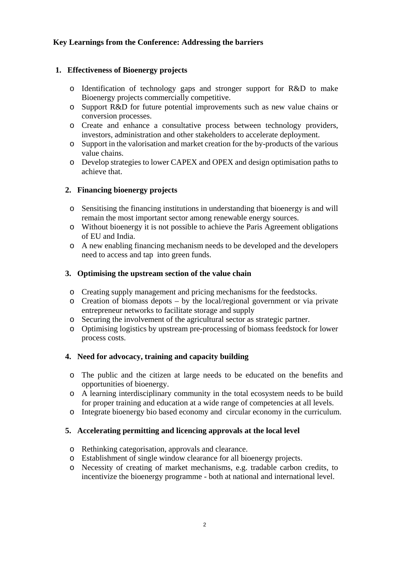# **Key Learnings from the Conference: Addressing the barriers**

# **1. Effectiveness of Bioenergy projects**

- o Identification of technology gaps and stronger support for R&D to make Bioenergy projects commercially competitive.
- o Support R&D for future potential improvements such as new value chains or conversion processes.
- o Create and enhance a consultative process between technology providers, investors, administration and other stakeholders to accelerate deployment.
- o Support in the valorisation and market creation for the by-products of the various value chains.
- o Develop strategies to lower CAPEX and OPEX and design optimisation paths to achieve that.

# **2. Financing bioenergy projects**

- o Sensitising the financing institutions in understanding that bioenergy is and will remain the most important sector among renewable energy sources.
- o Without bioenergy it is not possible to achieve the Paris Agreement obligations of EU and India.
- o A new enabling financing mechanism needs to be developed and the developers need to access and tap into green funds.

#### **3. Optimising the upstream section of the value chain**

- o Creating supply management and pricing mechanisms for the feedstocks.
- o Creation of biomass depots by the local/regional government or via private entrepreneur networks to facilitate storage and supply
- o Securing the involvement of the agricultural sector as strategic partner.
- o Optimising logistics by upstream pre-processing of biomass feedstock for lower process costs.

### **4. Need for advocacy, training and capacity building**

- o The public and the citizen at large needs to be educated on the benefits and opportunities of bioenergy.
- o A learning interdisciplinary community in the total ecosystem needs to be build for proper training and education at a wide range of competencies at all levels.
- o Integrate bioenergy bio based economy and circular economy in the curriculum.

#### **5. Accelerating permitting and licencing approvals at the local level**

- o Rethinking categorisation, approvals and clearance.
- o Establishment of single window clearance for all bioenergy projects.
- o Necessity of creating of market mechanisms, e.g. tradable carbon credits, to incentivize the bioenergy programme - both at national and international level.